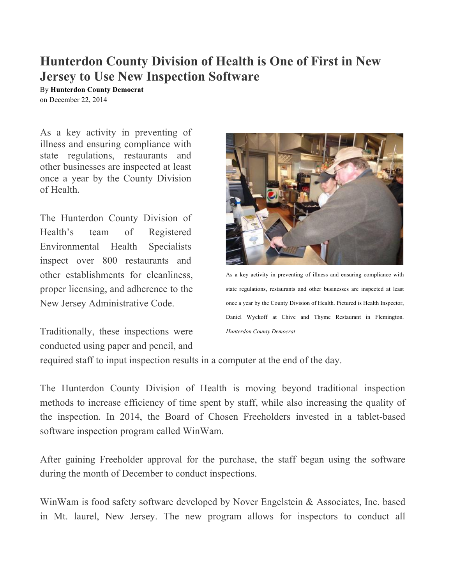## **Hunterdon County Division of Health is One of First in New Jersey to Use New Inspection Software**

By **Hunterdon County Democrat** on December 22, 2014

As a key activity in preventing of illness and ensuring compliance with state regulations, restaurants and other businesses are inspected at least once a year by the County Division of Health.

The Hunterdon County Division of Health's team of Registered Environmental Health Specialists inspect over 800 restaurants and other establishments for cleanliness, proper licensing, and adherence to the New Jersey Administrative Code.

Traditionally, these inspections were conducted using paper and pencil, and



As a key activity in preventing of illness and ensuring compliance with state regulations, restaurants and other businesses are inspected at least once a year by the County Division of Health. Pictured is Health Inspector, Daniel Wyckoff at Chive and Thyme Restaurant in Flemington. *Hunterdon County Democrat*

required staff to input inspection results in a computer at the end of the day.

The Hunterdon County Division of Health is moving beyond traditional inspection methods to increase efficiency of time spent by staff, while also increasing the quality of the inspection. In 2014, the Board of Chosen Freeholders invested in a tablet-based software inspection program called WinWam.

After gaining Freeholder approval for the purchase, the staff began using the software during the month of December to conduct inspections.

WinWam is food safety software developed by Nover Engelstein & Associates, Inc. based in Mt. laurel, New Jersey. The new program allows for inspectors to conduct all